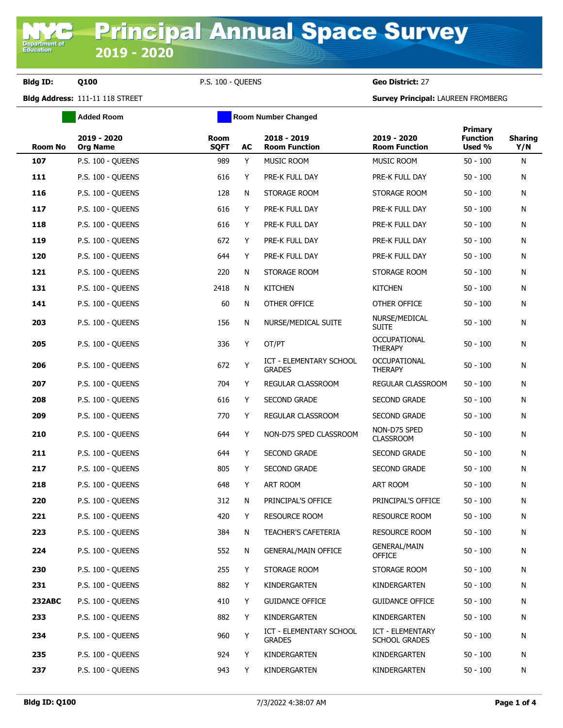Department<br>Education

**Bldg ID: Q100** P.S. 100 - QUEENS **Geo District:** 27

**Bldg Address:** 111-11 118 STREET **Survey Principal:** LAUREEN FROMBERG

|                | <b>Added Room</b>              |                            |    | <b>Room Number Changed</b>               |                                       |                                      |                       |
|----------------|--------------------------------|----------------------------|----|------------------------------------------|---------------------------------------|--------------------------------------|-----------------------|
| <b>Room No</b> | 2019 - 2020<br><b>Org Name</b> | <b>Room</b><br><b>SQFT</b> | AC | 2018 - 2019<br><b>Room Function</b>      | 2019 - 2020<br><b>Room Function</b>   | Primary<br><b>Function</b><br>Used % | <b>Sharing</b><br>Y/N |
| 107            | P.S. 100 - QUEENS              | 989                        | Y  | MUSIC ROOM                               | MUSIC ROOM                            | $50 - 100$                           | N                     |
| 111            | P.S. 100 - QUEENS              | 616                        | Y  | PRE-K FULL DAY                           | PRE-K FULL DAY                        | $50 - 100$                           | N                     |
| 116            | P.S. 100 - QUEENS              | 128                        | N  | STORAGE ROOM                             | STORAGE ROOM                          | $50 - 100$                           | N                     |
| 117            | P.S. 100 - QUEENS              | 616                        | Y  | PRE-K FULL DAY                           | PRE-K FULL DAY                        | $50 - 100$                           | N                     |
| 118            | P.S. 100 - QUEENS              | 616                        | Y  | PRE-K FULL DAY                           | PRE-K FULL DAY                        | $50 - 100$                           | N                     |
| 119            | P.S. 100 - QUEENS              | 672                        | Y  | PRE-K FULL DAY                           | PRE-K FULL DAY                        | $50 - 100$                           | N                     |
| 120            | P.S. 100 - QUEENS              | 644                        | Y  | PRE-K FULL DAY                           | PRE-K FULL DAY                        | $50 - 100$                           | N                     |
| 121            | P.S. 100 - QUEENS              | 220                        | N  | STORAGE ROOM                             | STORAGE ROOM                          | $50 - 100$                           | N                     |
| 131            | <b>P.S. 100 - QUEENS</b>       | 2418                       | N  | <b>KITCHEN</b>                           | <b>KITCHEN</b>                        | $50 - 100$                           | N                     |
| 141            | <b>P.S. 100 - QUEENS</b>       | 60                         | N  | OTHER OFFICE                             | OTHER OFFICE                          | $50 - 100$                           | N                     |
| 203            | P.S. 100 - QUEENS              | 156                        | N  | NURSE/MEDICAL SUITE                      | NURSE/MEDICAL<br><b>SUITE</b>         | $50 - 100$                           | N                     |
| 205            | P.S. 100 - OUEENS              | 336                        | Y  | OT/PT                                    | <b>OCCUPATIONAL</b><br><b>THERAPY</b> | $50 - 100$                           | N                     |
| 206            | P.S. 100 - QUEENS              | 672                        | Y  | ICT - ELEMENTARY SCHOOL<br><b>GRADES</b> | <b>OCCUPATIONAL</b><br><b>THERAPY</b> | $50 - 100$                           | N                     |
| 207            | P.S. 100 - QUEENS              | 704                        | Y  | REGULAR CLASSROOM                        | REGULAR CLASSROOM                     | $50 - 100$                           | N                     |
| 208            | P.S. 100 - QUEENS              | 616                        | Y  | SECOND GRADE                             | <b>SECOND GRADE</b>                   | $50 - 100$                           | N                     |
| 209            | <b>P.S. 100 - QUEENS</b>       | 770                        | Y  | REGULAR CLASSROOM                        | <b>SECOND GRADE</b>                   | $50 - 100$                           | N                     |
| 210            | P.S. 100 - QUEENS              | 644                        | Y  | NON-D75 SPED CLASSROOM                   | NON-D75 SPED<br><b>CLASSROOM</b>      | $50 - 100$                           | Ν                     |
| 211            | <b>P.S. 100 - QUEENS</b>       | 644                        | Y  | <b>SECOND GRADE</b>                      | <b>SECOND GRADE</b>                   | $50 - 100$                           | N                     |
| 217            | P.S. 100 - QUEENS              | 805                        | Y  | <b>SECOND GRADE</b>                      | <b>SECOND GRADE</b>                   | $50 - 100$                           | N                     |
| 218            | P.S. 100 - QUEENS              | 648                        | Y  | ART ROOM                                 | ART ROOM                              | $50 - 100$                           | N                     |
| 220            | P.S. 100 - QUEENS              | 312                        | N  | PRINCIPAL'S OFFICE                       | PRINCIPAL'S OFFICE                    | $50 - 100$                           | N                     |
| 221            | P.S. 100 - QUEENS              | 420                        | Y  | <b>RESOURCE ROOM</b>                     | <b>RESOURCE ROOM</b>                  | $50 - 100$                           | N                     |
| 223            | P.S. 100 - QUEENS              | 384                        | N  | <b>TEACHER'S CAFETERIA</b>               | RESOURCE ROOM                         | $50 - 100$                           | N                     |
| 224            | P.S. 100 - QUEENS              | 552                        | N  | <b>GENERAL/MAIN OFFICE</b>               | <b>GENERAL/MAIN</b><br><b>OFFICE</b>  | $50 - 100$                           | N                     |
| 230            | P.S. 100 - QUEENS              | 255                        | Y  | STORAGE ROOM                             | STORAGE ROOM                          | $50 - 100$                           | N                     |
| 231            | P.S. 100 - QUEENS              | 882                        | Y  | KINDERGARTEN                             | KINDERGARTEN                          | $50 - 100$                           | N                     |
| <b>232ABC</b>  | P.S. 100 - QUEENS              | 410                        | Y  | <b>GUIDANCE OFFICE</b>                   | <b>GUIDANCE OFFICE</b>                | $50 - 100$                           | N                     |
| 233            | P.S. 100 - QUEENS              | 882                        | Y  | KINDERGARTEN                             | KINDERGARTEN                          | $50 - 100$                           | N                     |
| 234            | P.S. 100 - QUEENS              | 960                        | Y  | ICT - ELEMENTARY SCHOOL<br><b>GRADES</b> | ICT - ELEMENTARY<br>SCHOOL GRADES     | $50 - 100$                           | N                     |
| 235            | P.S. 100 - QUEENS              | 924                        | Y  | KINDERGARTEN                             | KINDERGARTEN                          | $50 - 100$                           | N                     |
| 237            | P.S. 100 - QUEENS              | 943                        | Y  | KINDERGARTEN                             | KINDERGARTEN                          | $50 - 100$                           | N                     |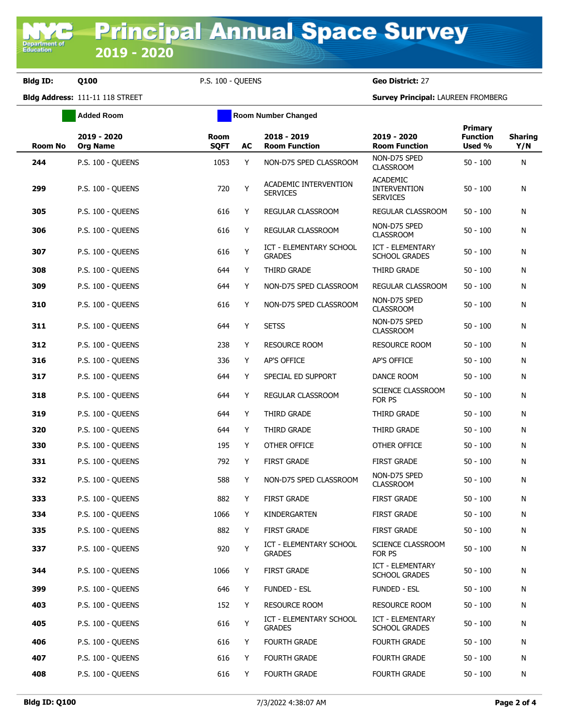**Bldg ID: Q100** P.S. 100 - QUEENS **Geo District:** 27

**Added Room Room Room Number Changed** 

**Bldg Address:** 111-11 118 STREET **Survey Principal:** LAUREEN FROMBERG

| <b>Room No</b> | 2019 - 2020<br><b>Org Name</b> | Room<br><b>SQFT</b> | AC | 2018 - 2019<br><b>Room Function</b>             | 2019 - 2020<br><b>Room Function</b>                       | Primary<br><b>Function</b><br>Used % | <b>Sharing</b><br>Y/N |
|----------------|--------------------------------|---------------------|----|-------------------------------------------------|-----------------------------------------------------------|--------------------------------------|-----------------------|
| 244            | P.S. 100 - QUEENS              | 1053                | Y  | NON-D75 SPED CLASSROOM                          | NON-D75 SPED<br><b>CLASSROOM</b>                          | $50 - 100$                           | N                     |
| 299            | P.S. 100 - QUEENS              | 720                 | Υ  | ACADEMIC INTERVENTION<br><b>SERVICES</b>        | <b>ACADEMIC</b><br><b>INTERVENTION</b><br><b>SERVICES</b> | $50 - 100$                           | N                     |
| 305            | P.S. 100 - QUEENS              | 616                 | Y  | REGULAR CLASSROOM                               | REGULAR CLASSROOM                                         | $50 - 100$                           | N                     |
| 306            | P.S. 100 - QUEENS              | 616                 | Y  | REGULAR CLASSROOM                               | NON-D75 SPED<br><b>CLASSROOM</b>                          | $50 - 100$                           | N                     |
| 307            | P.S. 100 - QUEENS              | 616                 | Y  | <b>ICT - ELEMENTARY SCHOOL</b><br><b>GRADES</b> | ICT - ELEMENTARY<br><b>SCHOOL GRADES</b>                  | $50 - 100$                           | N                     |
| 308            | P.S. 100 - QUEENS              | 644                 | Y  | THIRD GRADE                                     | THIRD GRADE                                               | $50 - 100$                           | N                     |
| 309            | P.S. 100 - QUEENS              | 644                 | Y  | NON-D75 SPED CLASSROOM                          | REGULAR CLASSROOM                                         | $50 - 100$                           | N                     |
| 310            | <b>P.S. 100 - QUEENS</b>       | 616                 | Y  | NON-D75 SPED CLASSROOM                          | NON-D75 SPED<br><b>CLASSROOM</b>                          | $50 - 100$                           | N                     |
| 311            | <b>P.S. 100 - QUEENS</b>       | 644                 | Y  | <b>SETSS</b>                                    | NON-D75 SPED<br><b>CLASSROOM</b>                          | $50 - 100$                           | N                     |
| 312            | P.S. 100 - QUEENS              | 238                 | Y  | <b>RESOURCE ROOM</b>                            | <b>RESOURCE ROOM</b>                                      | $50 - 100$                           | N                     |
| 316            | P.S. 100 - QUEENS              | 336                 | Y  | AP'S OFFICE                                     | <b>AP'S OFFICE</b>                                        | $50 - 100$                           | N                     |
| 317            | <b>P.S. 100 - QUEENS</b>       | 644                 | Y  | SPECIAL ED SUPPORT                              | DANCE ROOM                                                | $50 - 100$                           | N                     |
| 318            | <b>P.S. 100 - QUEENS</b>       | 644                 | Y  | REGULAR CLASSROOM                               | SCIENCE CLASSROOM<br>FOR PS                               | $50 - 100$                           | N                     |
| 319            | <b>P.S. 100 - QUEENS</b>       | 644                 | Y  | THIRD GRADE                                     | THIRD GRADE                                               | $50 - 100$                           | N                     |
| 320            | <b>P.S. 100 - QUEENS</b>       | 644                 | Y  | THIRD GRADE                                     | THIRD GRADE                                               | $50 - 100$                           | N                     |
| 330            | <b>P.S. 100 - QUEENS</b>       | 195                 | Y  | OTHER OFFICE                                    | OTHER OFFICE                                              | $50 - 100$                           | N                     |
| 331            | <b>P.S. 100 - QUEENS</b>       | 792                 | Y  | <b>FIRST GRADE</b>                              | <b>FIRST GRADE</b>                                        | $50 - 100$                           | N                     |
| 332            | <b>P.S. 100 - QUEENS</b>       | 588                 | Y  | NON-D75 SPED CLASSROOM                          | NON-D75 SPED<br><b>CLASSROOM</b>                          | $50 - 100$                           | N                     |
| 333            | P.S. 100 - QUEENS              | 882                 | Y  | <b>FIRST GRADE</b>                              | <b>FIRST GRADE</b>                                        | $50 - 100$                           | N                     |
| 334            | P.S. 100 - QUEENS              | 1066                | Y  | KINDERGARTEN                                    | <b>FIRST GRADE</b>                                        | $50 - 100$                           | N                     |
| 335            | P.S. 100 - QUEENS              | 882                 | Y  | <b>FIRST GRADE</b>                              | <b>FIRST GRADE</b>                                        | $50 - 100$                           | N                     |
| 337            | <b>P.S. 100 - QUEENS</b>       | 920                 | Y  | ICT - ELEMENTARY SCHOOL<br><b>GRADES</b>        | SCIENCE CLASSROOM<br>FOR PS                               | $50 - 100$                           | N                     |
| 344            | P.S. 100 - QUEENS              | 1066                | Y  | <b>FIRST GRADE</b>                              | <b>ICT - ELEMENTARY</b><br><b>SCHOOL GRADES</b>           | $50 - 100$                           | N                     |
| 399            | P.S. 100 - QUEENS              | 646                 | Y  | <b>FUNDED - ESL</b>                             | FUNDED - ESL                                              | $50 - 100$                           | N                     |
| 403            | P.S. 100 - QUEENS              | 152                 | Y  | RESOURCE ROOM                                   | RESOURCE ROOM                                             | $50 - 100$                           | N                     |
| 405            | P.S. 100 - OUEENS              | 616                 | Υ  | ICT - ELEMENTARY SCHOOL<br><b>GRADES</b>        | ICT - ELEMENTARY<br><b>SCHOOL GRADES</b>                  | $50 - 100$                           | N                     |
| 406            | P.S. 100 - QUEENS              | 616                 | Y  | FOURTH GRADE                                    | FOURTH GRADE                                              | $50 - 100$                           | N                     |
| 407            | P.S. 100 - QUEENS              | 616                 | Y  | <b>FOURTH GRADE</b>                             | <b>FOURTH GRADE</b>                                       | $50 - 100$                           | N                     |
| 408            | P.S. 100 - QUEENS              | 616                 | Y  | <b>FOURTH GRADE</b>                             | <b>FOURTH GRADE</b>                                       | $50 - 100$                           | N                     |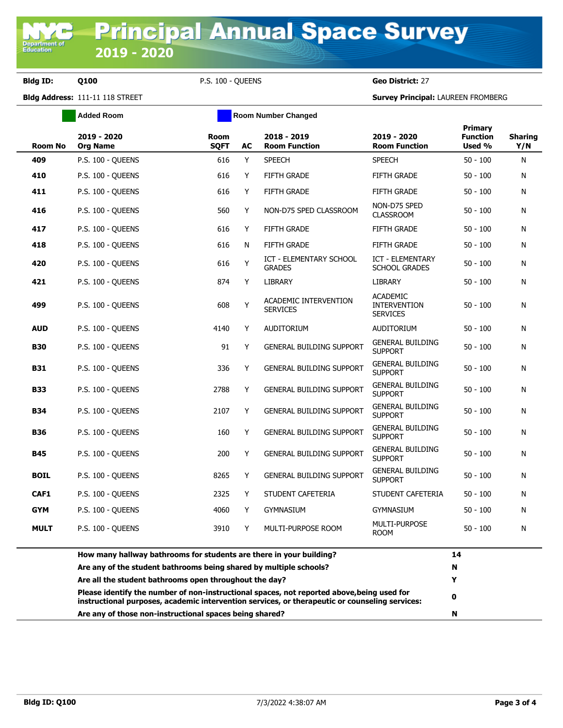**Bldg ID: Q100** P.S. 100 - QUEENS **Geo District:** 27

**Bldg Address:** 111-11 118 STREET **Survey Principal:** LAUREEN FROMBERG

|                | Added Room                                                          |                            |    | <b>Room Number Changed</b>               |                                                           |                                      |                       |
|----------------|---------------------------------------------------------------------|----------------------------|----|------------------------------------------|-----------------------------------------------------------|--------------------------------------|-----------------------|
| <b>Room No</b> | 2019 - 2020<br><b>Org Name</b>                                      | <b>Room</b><br><b>SQFT</b> | AC | 2018 - 2019<br><b>Room Function</b>      | 2019 - 2020<br><b>Room Function</b>                       | Primary<br><b>Function</b><br>Used % | <b>Sharing</b><br>Y/N |
| 409            | <b>P.S. 100 - OUEENS</b>                                            | 616                        | Y  | <b>SPEECH</b>                            | <b>SPEECH</b>                                             | $50 - 100$                           | N                     |
| 410            | <b>P.S. 100 - OUEENS</b>                                            | 616                        | Y  | <b>FIFTH GRADE</b>                       | <b>FIFTH GRADE</b>                                        | $50 - 100$                           | N                     |
| 411            | P.S. 100 - QUEENS                                                   | 616                        | Y  | <b>FIFTH GRADE</b>                       | <b>FIFTH GRADE</b>                                        | $50 - 100$                           | N                     |
| 416            | P.S. 100 - QUEENS                                                   | 560                        | Y  | NON-D75 SPED CLASSROOM                   | NON-D75 SPED<br><b>CLASSROOM</b>                          | $50 - 100$                           | N                     |
| 417            | P.S. 100 - OUEENS                                                   | 616                        | Y  | <b>FIFTH GRADE</b>                       | <b>FIFTH GRADE</b>                                        | $50 - 100$                           | N                     |
| 418            | P.S. 100 - QUEENS                                                   | 616                        | N  | <b>FIFTH GRADE</b>                       | <b>FIFTH GRADE</b>                                        | $50 - 100$                           | N                     |
| 420            | P.S. 100 - QUEENS                                                   | 616                        | Y  | ICT - ELEMENTARY SCHOOL<br><b>GRADES</b> | <b>ICT - ELEMENTARY</b><br><b>SCHOOL GRADES</b>           | 50 - 100                             | N                     |
| 421            | P.S. 100 - OUEENS                                                   | 874                        | Y  | <b>LIBRARY</b>                           | <b>LIBRARY</b>                                            | $50 - 100$                           | N                     |
| 499            | P.S. 100 - QUEENS                                                   | 608                        | Y  | ACADEMIC INTERVENTION<br><b>SERVICES</b> | <b>ACADEMIC</b><br><b>INTERVENTION</b><br><b>SERVICES</b> | 50 - 100                             | Ν                     |
| <b>AUD</b>     | P.S. 100 - QUEENS                                                   | 4140                       | Y  | <b>AUDITORIUM</b>                        | <b>AUDITORIUM</b>                                         | 50 - 100                             | N                     |
| <b>B30</b>     | P.S. 100 - OUEENS                                                   | 91                         | Y  | <b>GENERAL BUILDING SUPPORT</b>          | <b>GENERAL BUILDING</b><br><b>SUPPORT</b>                 | $50 - 100$                           | N                     |
| <b>B31</b>     | <b>P.S. 100 - OUEENS</b>                                            | 336                        | Y  | <b>GENERAL BUILDING SUPPORT</b>          | <b>GENERAL BUILDING</b><br><b>SUPPORT</b>                 | $50 - 100$                           | N                     |
| <b>B33</b>     | P.S. 100 - QUEENS                                                   | 2788                       | Y  | <b>GENERAL BUILDING SUPPORT</b>          | <b>GENERAL BUILDING</b><br><b>SUPPORT</b>                 | 50 - 100                             | N                     |
| <b>B34</b>     | <b>P.S. 100 - QUEENS</b>                                            | 2107                       | Y  | <b>GENERAL BUILDING SUPPORT</b>          | <b>GENERAL BUILDING</b><br><b>SUPPORT</b>                 | $50 - 100$                           | N                     |
| <b>B36</b>     | P.S. 100 - QUEENS                                                   | 160                        | Y  | <b>GENERAL BUILDING SUPPORT</b>          | <b>GENERAL BUILDING</b><br><b>SUPPORT</b>                 | $50 - 100$                           | N                     |
| <b>B45</b>     | <b>P.S. 100 - QUEENS</b>                                            | 200                        | Υ  | <b>GENERAL BUILDING SUPPORT</b>          | <b>GENERAL BUILDING</b><br><b>SUPPORT</b>                 | 50 - 100                             | N                     |
| <b>BOIL</b>    | <b>P.S. 100 - OUEENS</b>                                            | 8265                       | Y  | <b>GENERAL BUILDING SUPPORT</b>          | <b>GENERAL BUILDING</b><br><b>SUPPORT</b>                 | 50 - 100                             | N                     |
| CAF1           | P.S. 100 - OUEENS                                                   | 2325                       | Y  | STUDENT CAFETERIA                        | STUDENT CAFETERIA                                         | $50 - 100$                           | N                     |
| <b>GYM</b>     | P.S. 100 - QUEENS                                                   | 4060                       | Y  | <b>GYMNASIUM</b>                         | <b>GYMNASIUM</b>                                          | $50 - 100$                           | N                     |
| <b>MULT</b>    | P.S. 100 - OUEENS                                                   | 3910                       | Y  | MULTI-PURPOSE ROOM                       | MULTI-PURPOSE<br><b>ROOM</b>                              | $50 - 100$                           | N                     |
|                | How many hallway bathrooms for students are there in your building? |                            |    |                                          |                                                           | 14                                   |                       |
|                | Are any of the student bathrooms being shared by multiple schools?  |                            |    |                                          |                                                           | N                                    |                       |

| Are any of those non-instructional spaces being shared?                                                                                                                                      | N |
|----------------------------------------------------------------------------------------------------------------------------------------------------------------------------------------------|---|
| Please identify the number of non-instructional spaces, not reported above, being used for<br>instructional purposes, academic intervention services, or therapeutic or counseling services: |   |
| Are all the student bathrooms open throughout the day?                                                                                                                                       |   |
| Are any of the student bathrooms being shared by multiple schools?                                                                                                                           | N |
| <u>now many nanway batmooms ior staachts arc there in your banang:</u>                                                                                                                       |   |